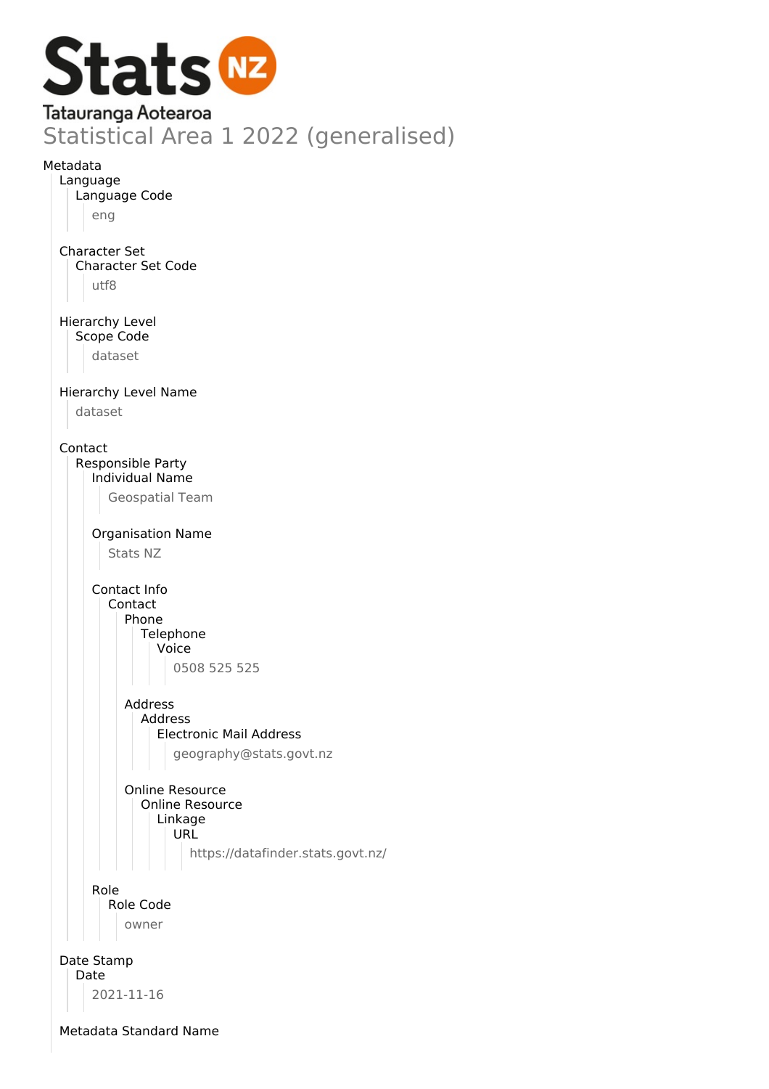

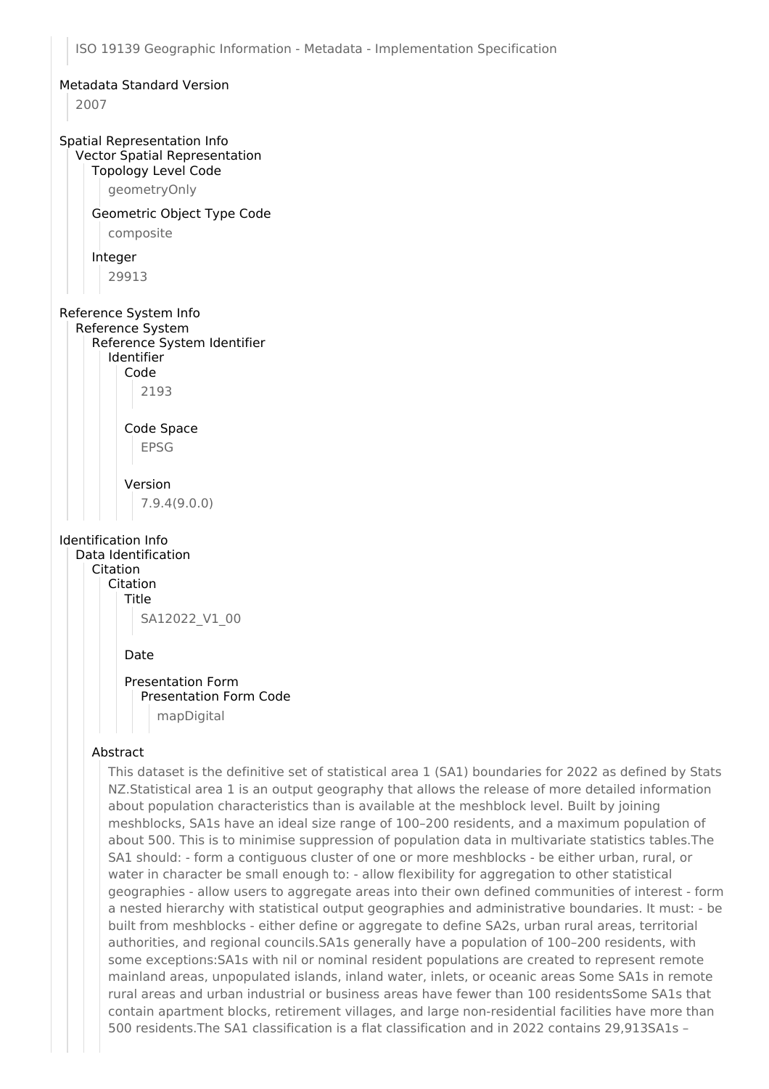## Metadata Standard Version

2007

#### Spatial Representation Info Vector Spatial Representation

#### Topology Level Code

geometryOnly

## Geometric Object Type Code

composite

#### Integer

29913

# Reference System Info

Reference System Reference System Identifier Identifier Code

2193

## Code Space EPSG

Version 7.9.4(9.0.0)

## Identification Info

Data Identification Citation Citation Title SA12022\_V1\_00

#### Date

## Presentation Form Presentation Form Code mapDigital

## Abstract

This dataset is the definitive set of statistical area 1 (SA1) boundaries for 2022 as defined by Stats NZ.Statistical area 1 is an output geography that allows the release of more detailed information about population characteristics than is available at the meshblock level. Built by joining meshblocks, SA1s have an ideal size range of 100–200 residents, and a maximum population of about 500. This is to minimise suppression of population data in multivariate statistics tables.The SA1 should: - form a contiguous cluster of one or more meshblocks - be either urban, rural, or water in character be small enough to: - allow flexibility for aggregation to other statistical geographies - allow users to aggregate areas into their own defined communities of interest - form a nested hierarchy with statistical output geographies and administrative boundaries. It must: - be built from meshblocks - either define or aggregate to define SA2s, urban rural areas, territorial authorities, and regional councils.SA1s generally have a population of 100–200 residents, with some exceptions:SA1s with nil or nominal resident populations are created to represent remote mainland areas, unpopulated islands, inland water, inlets, or oceanic areas Some SA1s in remote rural areas and urban industrial or business areas have fewer than 100 residentsSome SA1s that contain apartment blocks, retirement villages, and large non-residential facilities have more than 500 residents.The SA1 classification is a flat classification and in 2022 contains 29,913SA1s –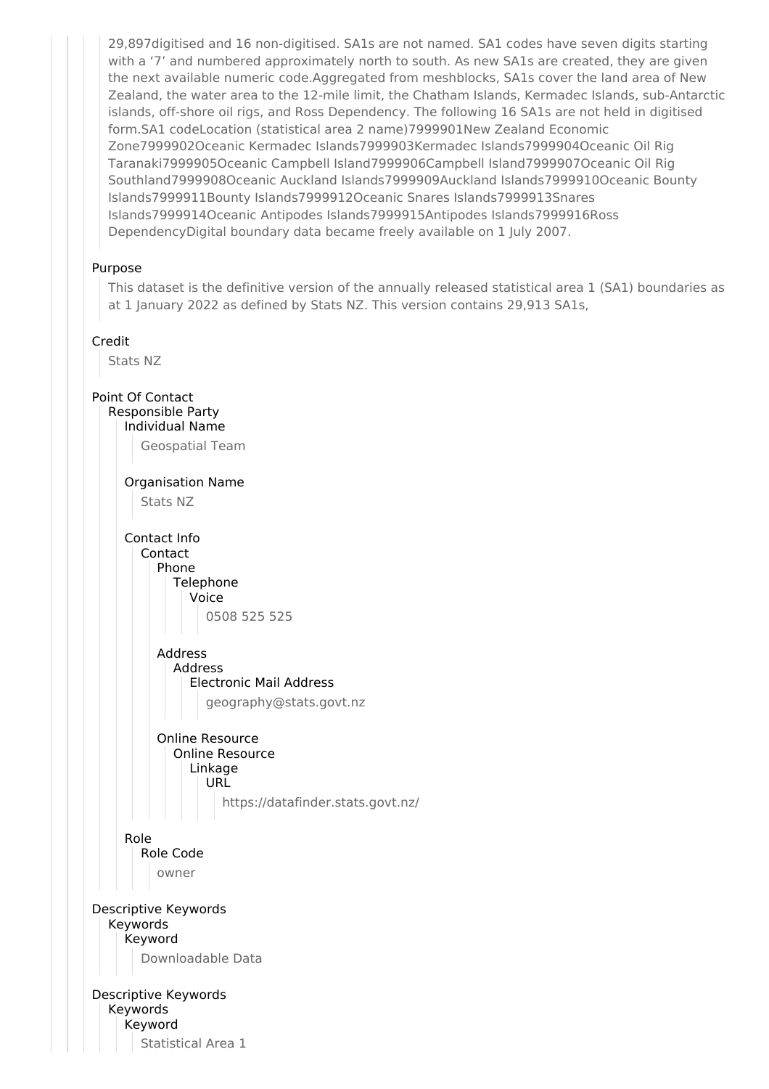29,897digitised and 16 non-digitised. SA1s are not named. SA1 codes have seven digits starting with a '7' and numbered approximately north to south. As new SA1s are created, they are given the next available numeric code.Aggregated from meshblocks, SA1s cover the land area of New Zealand, the water area to the 12-mile limit, the Chatham Islands, Kermadec Islands, sub-Antarctic islands, off-shore oil rigs, and Ross Dependency. The following 16 SA1s are not held in digitised form.SA1 codeLocation (statistical area 2 name)7999901New Zealand Economic Zone7999902Oceanic Kermadec Islands7999903Kermadec Islands7999904Oceanic Oil Rig Taranaki7999905Oceanic Campbell Island7999906Campbell Island7999907Oceanic Oil Rig Southland7999908Oceanic Auckland Islands7999909Auckland Islands7999910Oceanic Bounty Islands7999911Bounty Islands7999912Oceanic Snares Islands7999913Snares Islands7999914Oceanic Antipodes Islands7999915Antipodes Islands7999916Ross DependencyDigital boundary data became freely available on 1 July 2007.

## Purpose

This dataset is the definitive version of the annually released statistical area 1 (SA1) boundaries as at 1 January 2022 as defined by Stats NZ. This version contains 29,913 SA1s,

#### Credit

Stats NZ

Point Of Contact Responsible Party Individual Name Geospatial Team Organisation Name Stats NZ Contact Info Contact Phone Telephone Voice 0508 525 525 Address Address Electronic Mail Address geography@stats.govt.nz Online Resource Online Resource Linkage URL https://datafinder.stats.govt.nz/ Role Role Code owner Descriptive Keywords Keywords Keyword Downloadable Data Descriptive Keywords Keywords Keyword

Statistical Area 1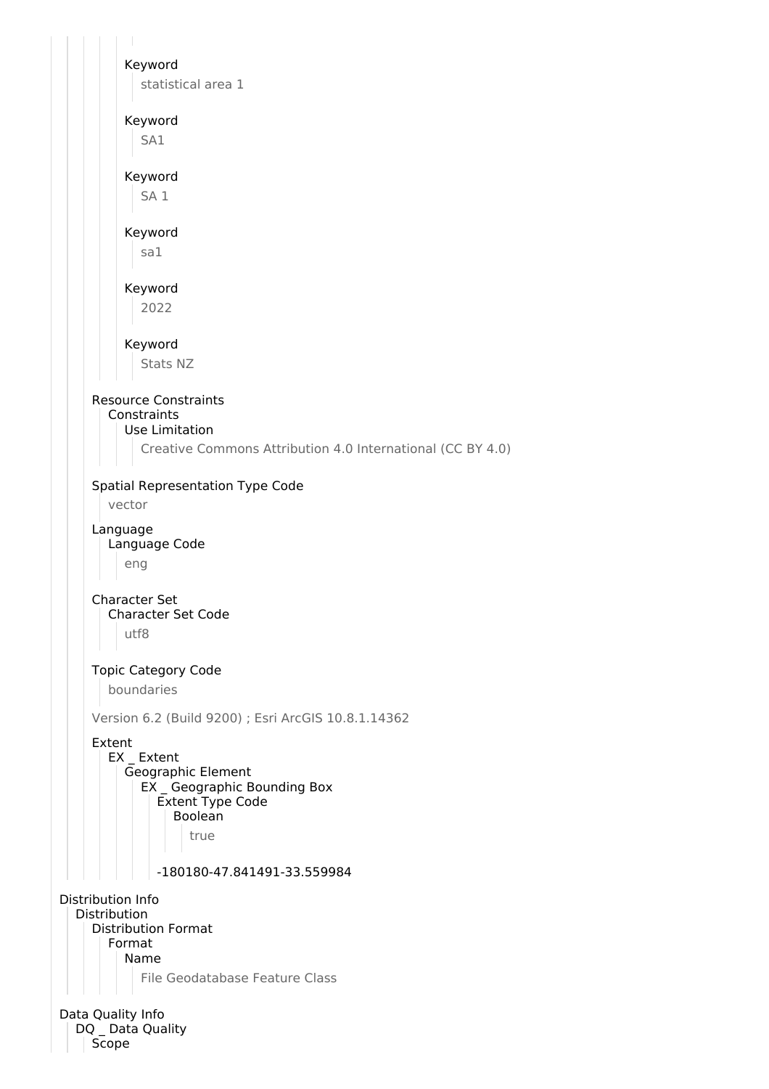Keyword statistical area 1 Keyword SA1 Keyword SA 1 Keyword sa1 Keyword 2022 Keyword Stats NZ Resource Constraints **Constraints** Use Limitation Creative Commons Attribution 4.0 International (CC BY 4.0) Spatial Representation Type Code vector Language Language Code eng Character Set Character Set Code utf8 Topic Category Code boundaries Version 6.2 (Build 9200) ; Esri ArcGIS 10.8.1.14362 Extent EX Extent Geographic Element EX Geographic Bounding Box Extent Type Code Boolean true -180180-47.841491-33.559984 Distribution Info Distribution Distribution Format Format Name File Geodatabase Feature Class Data Quality Info DQ Data Quality Scope